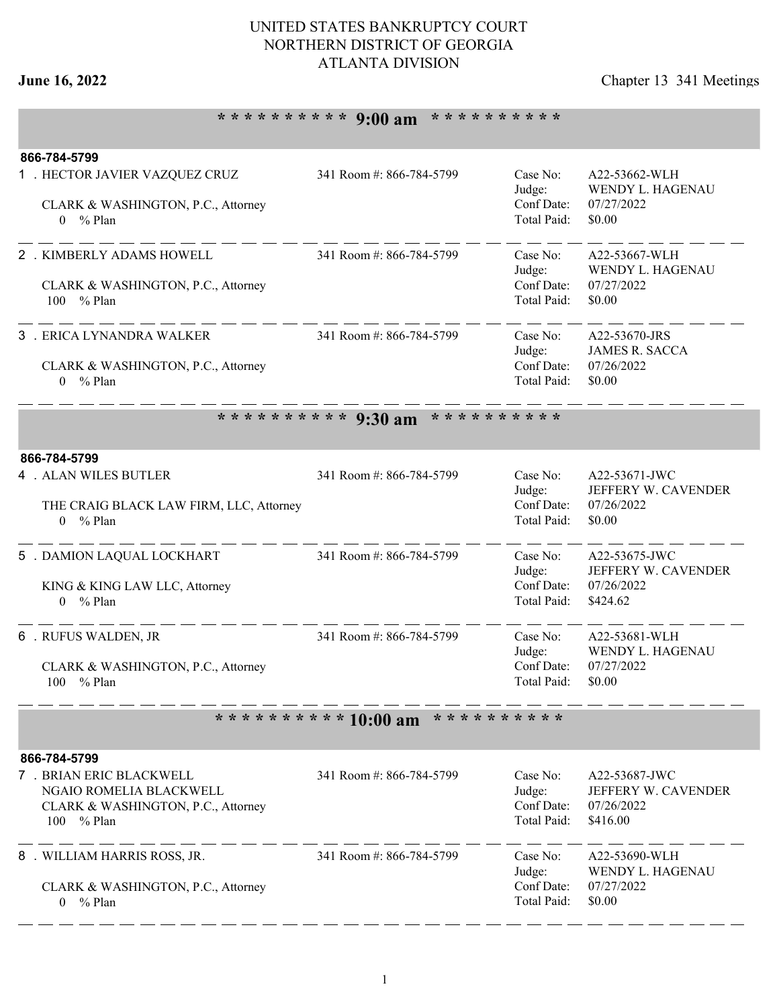## UNITED STATES BANKRUPTCY COURT NORTHERN DISTRICT OF GEORGIA ATLANTA DIVISION

# **June 16, 2022** Chapter 13 341 Meetings

# **\* \* \* \* \* \* \* \* \* \* 9:00 am \* \* \* \* \* \* \* \* \* \***

| 866-784-5799                                                                                            |                          |                                                 |                                                                |
|---------------------------------------------------------------------------------------------------------|--------------------------|-------------------------------------------------|----------------------------------------------------------------|
| 1 . HECTOR JAVIER VAZQUEZ CRUZ                                                                          | 341 Room #: 866-784-5799 | Case No:<br>Judge:                              | A22-53662-WLH<br>WENDY L. HAGENAU                              |
| CLARK & WASHINGTON, P.C., Attorney<br>$0 \frac{9}{6}$ Plan                                              |                          | Conf Date:<br>Total Paid:                       | 07/27/2022<br>\$0.00                                           |
| 2 . KIMBERLY ADAMS HOWELL                                                                               | 341 Room #: 866-784-5799 | Case No:<br>Judge:                              | A22-53667-WLH<br>WENDY L. HAGENAU                              |
| CLARK & WASHINGTON, P.C., Attorney<br>100 % Plan                                                        |                          | Conf Date:<br>Total Paid:                       | 07/27/2022<br>\$0.00                                           |
| 3 . ERICA LYNANDRA WALKER                                                                               | 341 Room #: 866-784-5799 | Case No:<br>Judge:                              | A22-53670-JRS<br><b>JAMES R. SACCA</b>                         |
| CLARK & WASHINGTON, P.C., Attorney<br>$0 \frac{9}{6}$ Plan                                              |                          | Conf Date:<br>Total Paid:                       | 07/26/2022<br>\$0.00                                           |
|                                                                                                         | ********** 9:30 am       | * * * * * * * * * *                             |                                                                |
| 866-784-5799                                                                                            |                          |                                                 |                                                                |
| <b>4 . ALAN WILES BUTLER</b>                                                                            | 341 Room #: 866-784-5799 | Case No:<br>Judge:                              | A22-53671-JWC<br>JEFFERY W. CAVENDER                           |
| THE CRAIG BLACK LAW FIRM, LLC, Attorney<br>$%$ Plan<br>$\Omega$                                         |                          | Conf Date:<br>Total Paid:                       | 07/26/2022<br>\$0.00                                           |
| 5 . DAMION LAQUAL LOCKHART                                                                              | 341 Room #: 866-784-5799 | Case No:<br>Judge:                              | A22-53675-JWC<br>JEFFERY W. CAVENDER                           |
| KING & KING LAW LLC, Attorney<br>$0 \frac{9}{6}$ Plan                                                   |                          | Conf Date:<br>Total Paid:                       | 07/26/2022<br>\$424.62                                         |
| 6 . RUFUS WALDEN, JR                                                                                    | 341 Room #: 866-784-5799 | Case No:<br>Judge:                              | A22-53681-WLH<br>WENDY L. HAGENAU                              |
| CLARK & WASHINGTON, P.C., Attorney<br>100<br>% Plan                                                     |                          | Conf Date:<br>Total Paid:                       | 07/27/2022<br>\$0.00                                           |
|                                                                                                         | ********** 10:00 am      | * * * * * * * * * *                             |                                                                |
| 866-784-5799                                                                                            |                          |                                                 |                                                                |
| 7 . BRIAN ERIC BLACKWELL<br>NGAIO ROMELIA BLACKWELL<br>CLARK & WASHINGTON, P.C., Attorney<br>100 % Plan | 341 Room #: 866-784-5799 | Case No:<br>Judge:<br>Conf Date:<br>Total Paid: | A22-53687-JWC<br>JEFFERY W. CAVENDER<br>07/26/2022<br>\$416.00 |
| 8 . WILLIAM HARRIS ROSS, JR.                                                                            | 341 Room #: 866-784-5799 | Case No:<br>Judge:<br>Conf Date:                | A22-53690-WLH<br>WENDY L. HAGENAU                              |
| CLARK & WASHINGTON, P.C., Attorney<br>$0 \frac{9}{6}$ Plan                                              |                          | Total Paid:                                     | 07/27/2022<br>\$0.00                                           |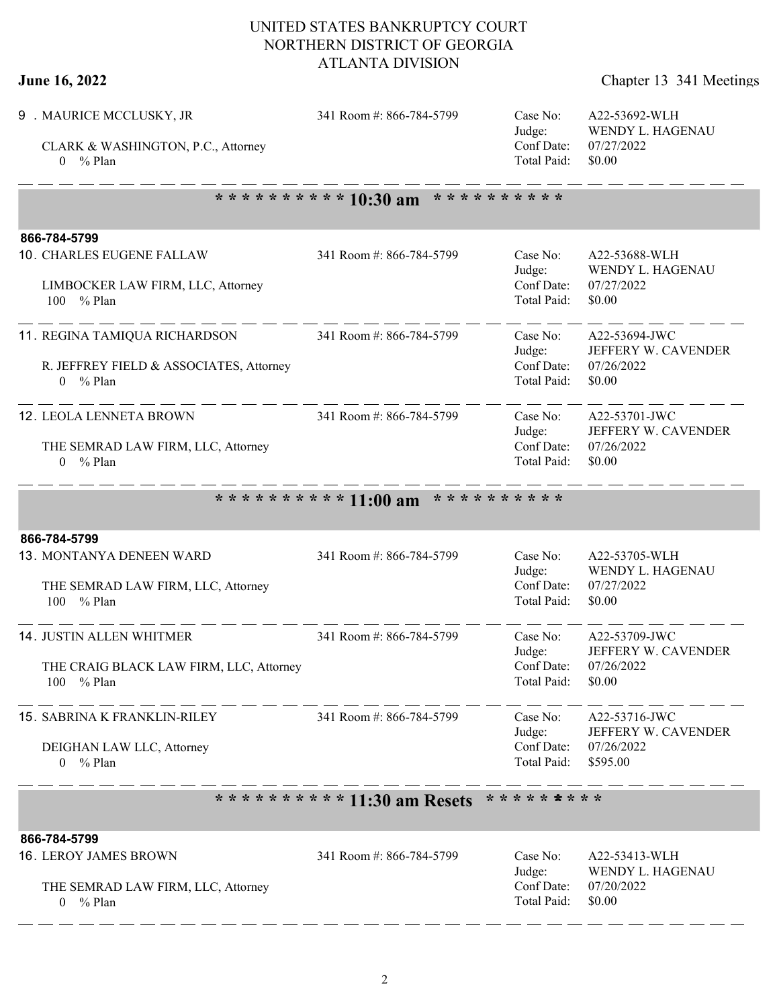## UNITED STATES BANKRUPTCY COURT NORTHERN DISTRICT OF GEORGIA ATLANTA DIVISION

| June 16, 2022 | Chapter 13 341 Meetings |
|---------------|-------------------------|
|---------------|-------------------------|

| 9 . MAURICE MCCLUSKY, JR<br>CLARK & WASHINGTON, P.C., Attorney<br>$0 \frac{9}{6}$ Plan           | 341 Room #: 866-784-5799                   | Case No:<br>Judge:<br>Conf Date:<br>Total Paid:   | A22-53692-WLH<br>WENDY L. HAGENAU<br>07/27/2022<br>\$0.00      |  |  |  |  |
|--------------------------------------------------------------------------------------------------|--------------------------------------------|---------------------------------------------------|----------------------------------------------------------------|--|--|--|--|
|                                                                                                  | ********** 10:30 am<br>* * * * * * * * * * |                                                   |                                                                |  |  |  |  |
| 866-784-5799                                                                                     |                                            |                                                   |                                                                |  |  |  |  |
| 10. CHARLES EUGENE FALLAW<br>LIMBOCKER LAW FIRM, LLC, Attorney<br>100 % Plan                     | 341 Room #: 866-784-5799                   | Case No:<br>Judge:<br>Conf Date:<br>Total Paid:   | A22-53688-WLH<br>WENDY L. HAGENAU<br>07/27/2022<br>\$0.00      |  |  |  |  |
| 11. REGINA TAMIQUA RICHARDSON<br>R. JEFFREY FIELD & ASSOCIATES, Attorney<br>$0 \frac{9}{6}$ Plan | 341 Room #: 866-784-5799                   | Case No:<br>Judge:<br>Conf Date:<br>Total Paid:   | A22-53694-JWC<br>JEFFERY W. CAVENDER<br>07/26/2022<br>\$0.00   |  |  |  |  |
| 12. LEOLA LENNETA BROWN<br>THE SEMRAD LAW FIRM, LLC, Attorney<br>$0 \frac{9}{6}$ Plan            | 341 Room #: 866-784-5799                   | Case No:<br>Judge:<br>Conf Date:<br>Total Paid:   | A22-53701-JWC<br>JEFFERY W. CAVENDER<br>07/26/2022<br>\$0.00   |  |  |  |  |
|                                                                                                  | ********** 11:00 am<br>* * * * * * * * * * |                                                   |                                                                |  |  |  |  |
| 866-784-5799                                                                                     |                                            |                                                   |                                                                |  |  |  |  |
| 13. MONTANYA DENEEN WARD<br>THE SEMRAD LAW FIRM, LLC, Attorney<br>% Plan<br>100                  | 341 Room #: 866-784-5799                   | Case No:<br>Judge:<br>Conf Date:<br>Total Paid:   | A22-53705-WLH<br>WENDY L. HAGENAU<br>07/27/2022<br>\$0.00      |  |  |  |  |
| <b>14. JUSTIN ALLEN WHITMER</b><br>THE CRAIG BLACK LAW FIRM, LLC, Attorney<br>100 % Plan         | 341 Room #: 866-784-5799                   | Case No:<br>Judge:<br>$Conf$ Date:<br>Total Paid: | A22-53709-JWC<br>JEFFERY W. CAVENDER<br>07/26/2022<br>\$0.00   |  |  |  |  |
| ---------<br>15. SABRINA K FRANKLIN-RILEY<br>DEIGHAN LAW LLC, Attorney<br>$0 \frac{9}{6}$ Plan   | 341 Room #: 866-784-5799                   | Case No:<br>Judge:<br>Conf Date:<br>Total Paid:   | A22-53716-JWC<br>JEFFERY W. CAVENDER<br>07/26/2022<br>\$595.00 |  |  |  |  |
| ********** 11:30 am Resets<br>* * * * * * * * *                                                  |                                            |                                                   |                                                                |  |  |  |  |
| 866-784-5799                                                                                     |                                            |                                                   |                                                                |  |  |  |  |
| <b>16. LEROY JAMES BROWN</b><br>THE SEMRAD LAW FIRM, LLC, Attorney<br>$0 \frac{9}{6}$ Plan       | 341 Room #: 866-784-5799                   | Case No:<br>Judge:<br>Conf Date:<br>Total Paid:   | A22-53413-WLH<br>WENDY L. HAGENAU<br>07/20/2022<br>\$0.00      |  |  |  |  |

- - - - - - - - - - - - - - - -

 $-$ 

 $-$ 

- -

- -